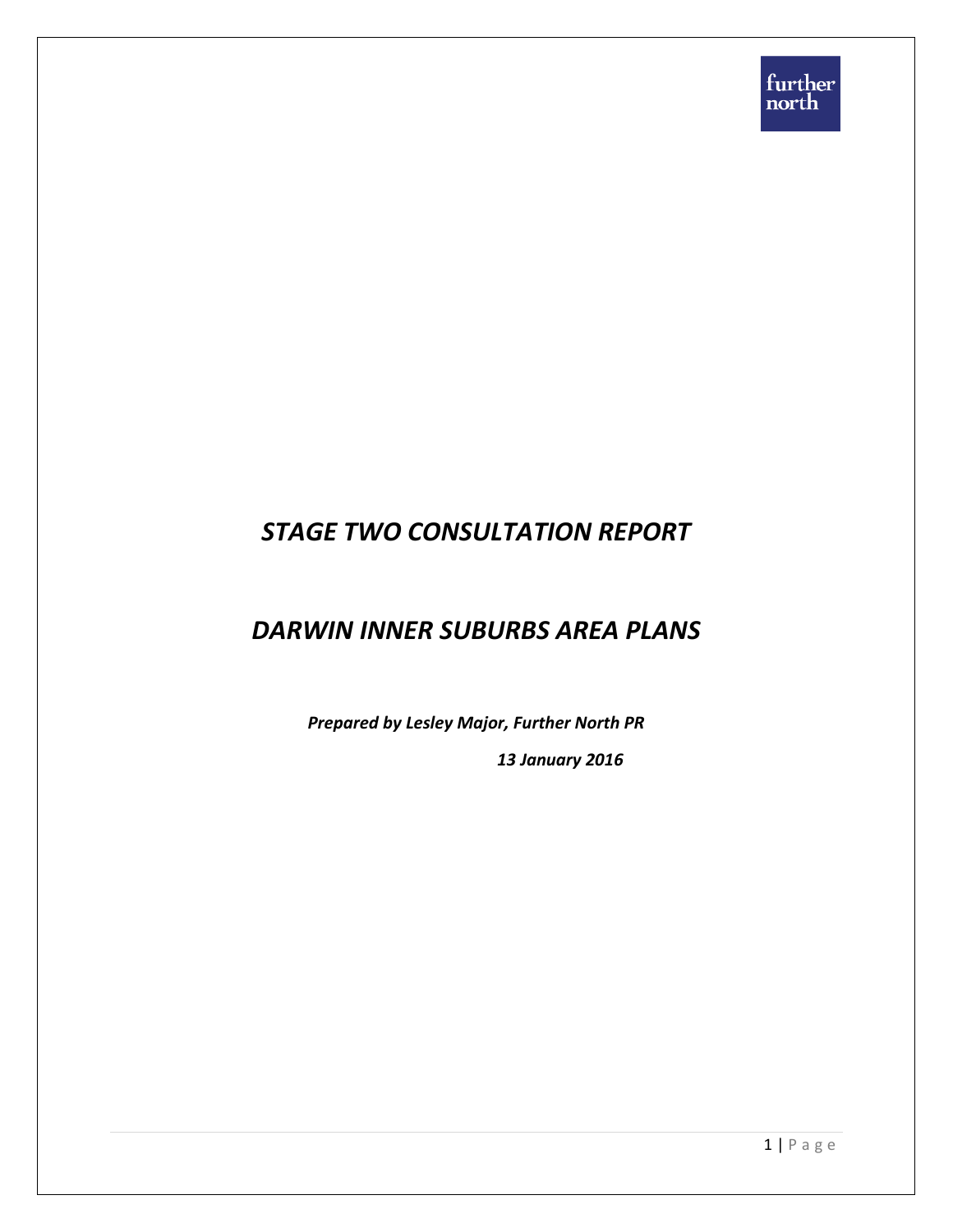# *STAGE TWO CONSULTATION REPORT*

# *DARWIN INNER SUBURBS AREA PLANS*

*Prepared by Lesley Major, Further North PR*

*13 January 2016*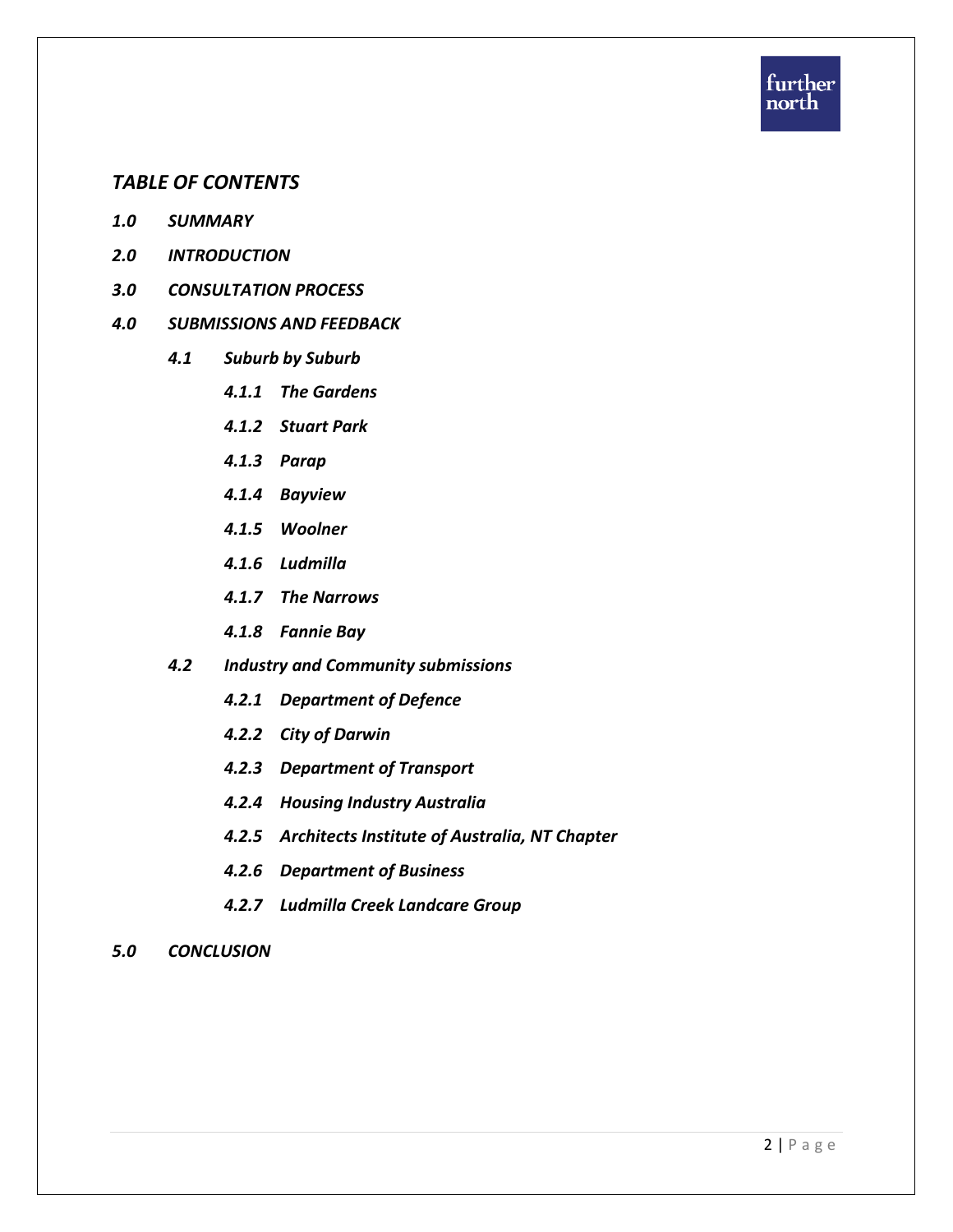

# *TABLE OF CONTENTS*

- *1.0 SUMMARY*
- *2.0 INTRODUCTION*
- *3.0 CONSULTATION PROCESS*

#### *4.0 SUBMISSIONS AND FEEDBACK*

- *4.1 Suburb by Suburb* 
	- *4.1.1 The Gardens*
	- *4.1.2 Stuart Park*
	- *4.1.3 Parap*
	- *4.1.4 Bayview*
	- *4.1.5 Woolner*
	- *4.1.6 Ludmilla*
	- *4.1.7 The Narrows*
	- *4.1.8 Fannie Bay*
- *4.2 Industry and Community submissions*
	- *4.2.1 Department of Defence*
	- *4.2.2 City of Darwin*
	- *4.2.3 Department of Transport*
	- *4.2.4 Housing Industry Australia*
	- *4.2.5 Architects Institute of Australia, NT Chapter*
	- *4.2.6 Department of Business*
	- *4.2.7 Ludmilla Creek Landcare Group*
- *5.0 CONCLUSION*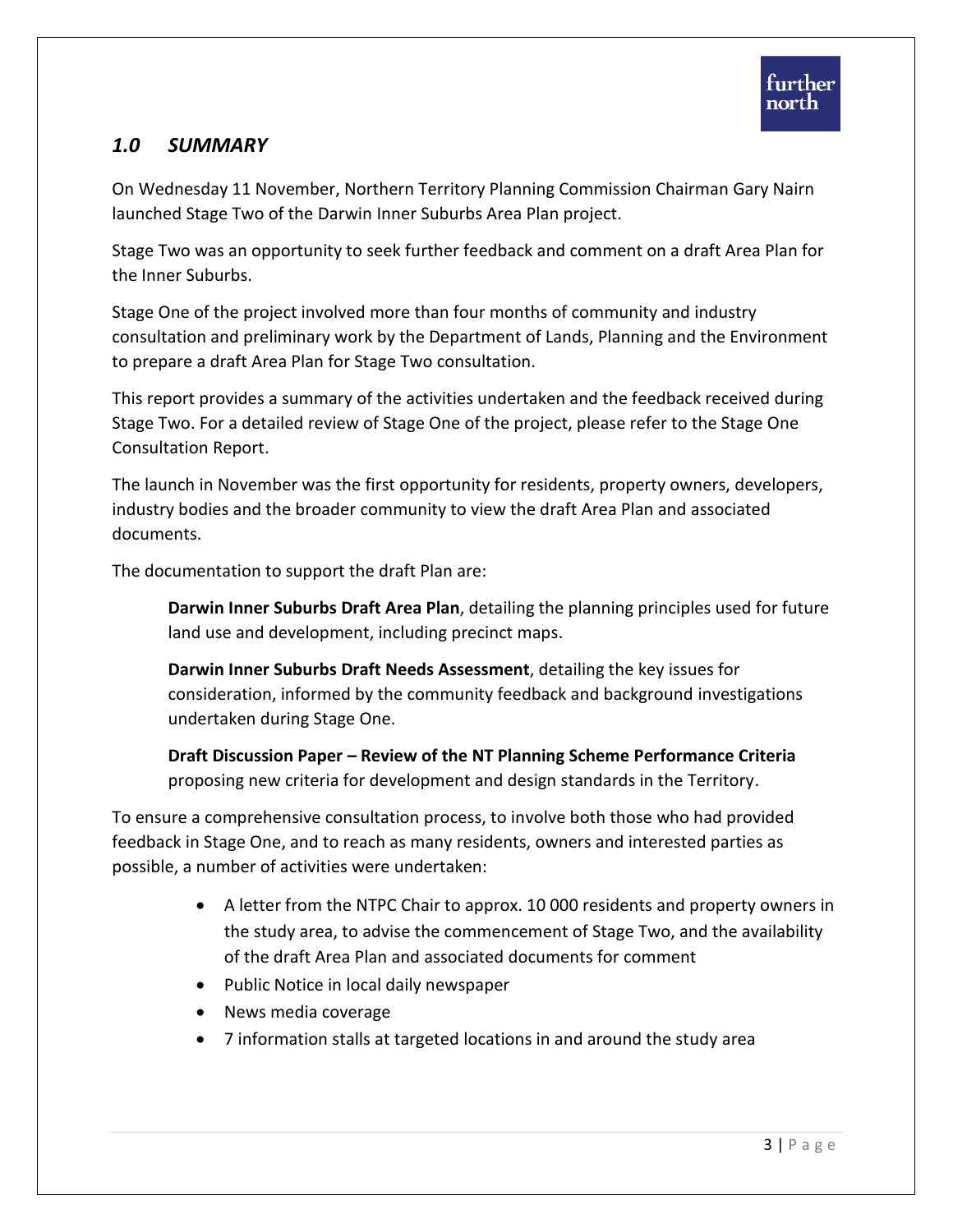# *1.0 SUMMARY*

On Wednesday 11 November, Northern Territory Planning Commission Chairman Gary Nairn launched Stage Two of the Darwin Inner Suburbs Area Plan project.

Stage Two was an opportunity to seek further feedback and comment on a draft Area Plan for the Inner Suburbs.

Stage One of the project involved more than four months of community and industry consultation and preliminary work by the Department of Lands, Planning and the Environment to prepare a draft Area Plan for Stage Two consultation.

This report provides a summary of the activities undertaken and the feedback received during Stage Two. For a detailed review of Stage One of the project, please refer to the Stage One Consultation Report.

The launch in November was the first opportunity for residents, property owners, developers, industry bodies and the broader community to view the draft Area Plan and associated documents.

The documentation to support the draft Plan are:

**Darwin Inner Suburbs Draft Area Plan**, detailing the planning principles used for future land use and development, including precinct maps.

**Darwin Inner Suburbs Draft Needs Assessment**, detailing the key issues for consideration, informed by the community feedback and background investigations undertaken during Stage One.

**Draft Discussion Paper – Review of the NT Planning Scheme Performance Criteria**  proposing new criteria for development and design standards in the Territory.

To ensure a comprehensive consultation process, to involve both those who had provided feedback in Stage One, and to reach as many residents, owners and interested parties as possible, a number of activities were undertaken:

- A letter from the NTPC Chair to approx. 10 000 residents and property owners in the study area, to advise the commencement of Stage Two, and the availability of the draft Area Plan and associated documents for comment
- Public Notice in local daily newspaper
- News media coverage
- 7 information stalls at targeted locations in and around the study area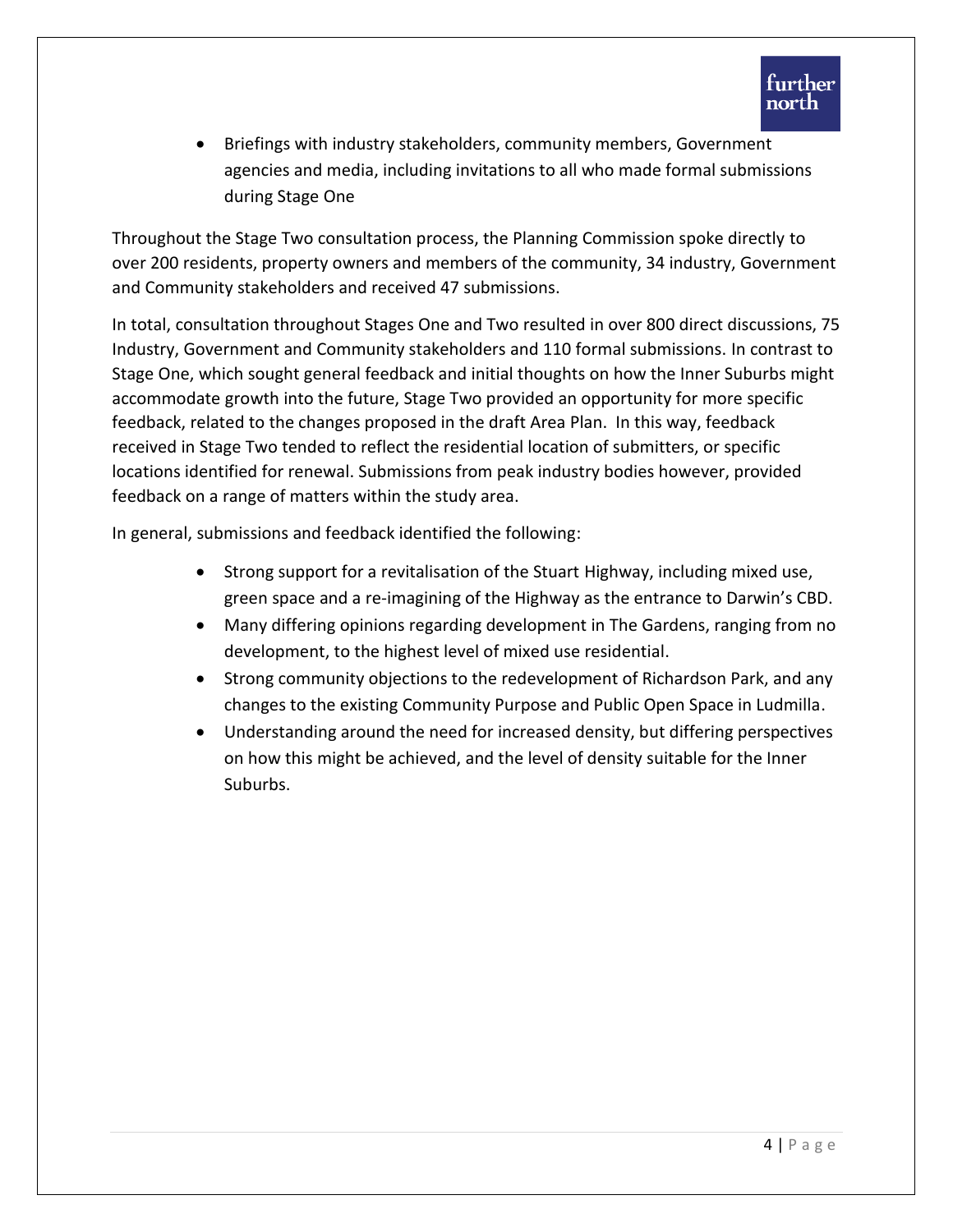

 Briefings with industry stakeholders, community members, Government agencies and media, including invitations to all who made formal submissions during Stage One

Throughout the Stage Two consultation process, the Planning Commission spoke directly to over 200 residents, property owners and members of the community, 34 industry, Government and Community stakeholders and received 47 submissions.

In total, consultation throughout Stages One and Two resulted in over 800 direct discussions, 75 Industry, Government and Community stakeholders and 110 formal submissions. In contrast to Stage One, which sought general feedback and initial thoughts on how the Inner Suburbs might accommodate growth into the future, Stage Two provided an opportunity for more specific feedback, related to the changes proposed in the draft Area Plan. In this way, feedback received in Stage Two tended to reflect the residential location of submitters, or specific locations identified for renewal. Submissions from peak industry bodies however, provided feedback on a range of matters within the study area.

In general, submissions and feedback identified the following:

- Strong support for a revitalisation of the Stuart Highway, including mixed use, green space and a re-imagining of the Highway as the entrance to Darwin's CBD.
- Many differing opinions regarding development in The Gardens, ranging from no development, to the highest level of mixed use residential.
- Strong community objections to the redevelopment of Richardson Park, and any changes to the existing Community Purpose and Public Open Space in Ludmilla.
- Understanding around the need for increased density, but differing perspectives on how this might be achieved, and the level of density suitable for the Inner Suburbs.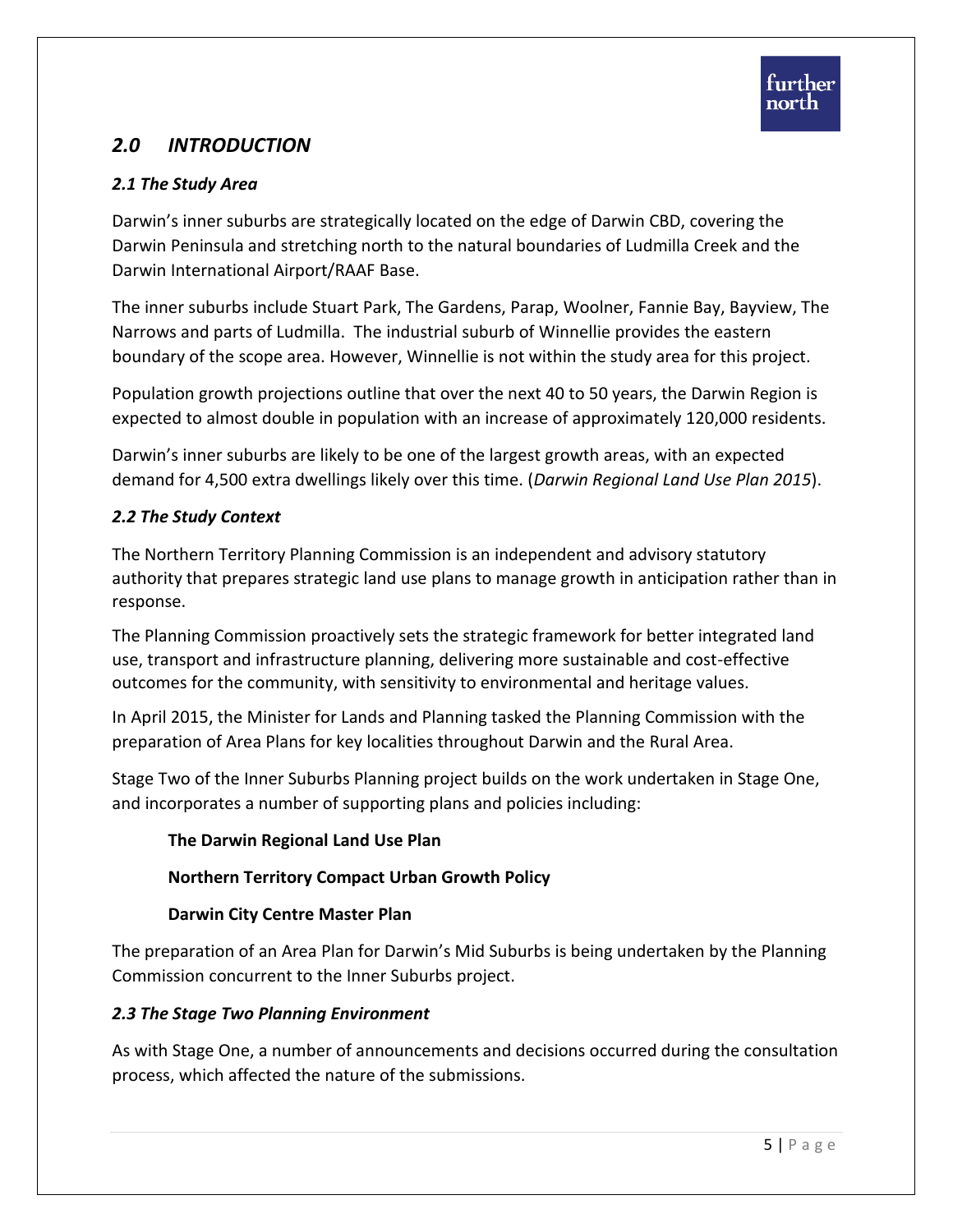# *2.0 INTRODUCTION*

# *2.1 The Study Area*

Darwin's inner suburbs are strategically located on the edge of Darwin CBD, covering the Darwin Peninsula and stretching north to the natural boundaries of Ludmilla Creek and the Darwin International Airport/RAAF Base.

The inner suburbs include Stuart Park, The Gardens, Parap, Woolner, Fannie Bay, Bayview, The Narrows and parts of Ludmilla. The industrial suburb of Winnellie provides the eastern boundary of the scope area. However, Winnellie is not within the study area for this project.

Population growth projections outline that over the next 40 to 50 years, the Darwin Region is expected to almost double in population with an increase of approximately 120,000 residents.

Darwin's inner suburbs are likely to be one of the largest growth areas, with an expected demand for 4,500 extra dwellings likely over this time. (*Darwin Regional Land Use Plan 2015*).

# *2.2 The Study Context*

The Northern Territory Planning Commission is an independent and advisory statutory authority that prepares strategic land use plans to manage growth in anticipation rather than in response.

The Planning Commission proactively sets the strategic framework for better integrated land use, transport and infrastructure planning, delivering more sustainable and cost-effective outcomes for the community, with sensitivity to environmental and heritage values.

In April 2015, the Minister for Lands and Planning tasked the Planning Commission with the preparation of Area Plans for key localities throughout Darwin and the Rural Area.

Stage Two of the Inner Suburbs Planning project builds on the work undertaken in Stage One, and incorporates a number of supporting plans and policies including:

# **The Darwin Regional Land Use Plan**

# **Northern Territory Compact Urban Growth Policy**

# **Darwin City Centre Master Plan**

The preparation of an Area Plan for Darwin's Mid Suburbs is being undertaken by the Planning Commission concurrent to the Inner Suburbs project.

# *2.3 The Stage Two Planning Environment*

As with Stage One, a number of announcements and decisions occurred during the consultation process, which affected the nature of the submissions.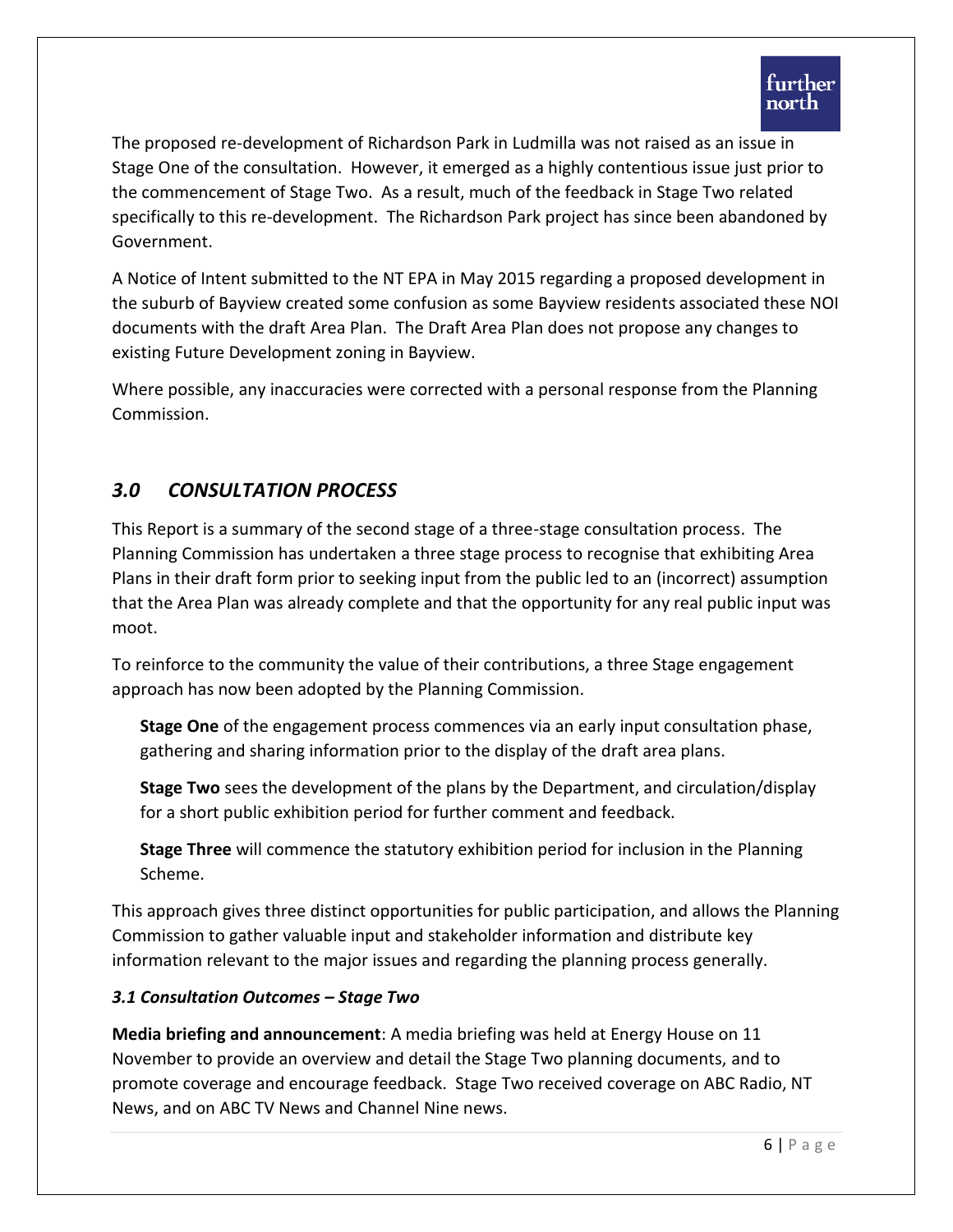The proposed re-development of Richardson Park in Ludmilla was not raised as an issue in Stage One of the consultation. However, it emerged as a highly contentious issue just prior to the commencement of Stage Two. As a result, much of the feedback in Stage Two related specifically to this re-development. The Richardson Park project has since been abandoned by Government.

A Notice of Intent submitted to the NT EPA in May 2015 regarding a proposed development in the suburb of Bayview created some confusion as some Bayview residents associated these NOI documents with the draft Area Plan. The Draft Area Plan does not propose any changes to existing Future Development zoning in Bayview.

Where possible, any inaccuracies were corrected with a personal response from the Planning Commission.

# *3.0 CONSULTATION PROCESS*

This Report is a summary of the second stage of a three-stage consultation process. The Planning Commission has undertaken a three stage process to recognise that exhibiting Area Plans in their draft form prior to seeking input from the public led to an (incorrect) assumption that the Area Plan was already complete and that the opportunity for any real public input was moot.

To reinforce to the community the value of their contributions, a three Stage engagement approach has now been adopted by the Planning Commission.

**Stage One** of the engagement process commences via an early input consultation phase, gathering and sharing information prior to the display of the draft area plans.

**Stage Two** sees the development of the plans by the Department, and circulation/display for a short public exhibition period for further comment and feedback.

**Stage Three** will commence the statutory exhibition period for inclusion in the Planning Scheme.

This approach gives three distinct opportunities for public participation, and allows the Planning Commission to gather valuable input and stakeholder information and distribute key information relevant to the major issues and regarding the planning process generally.

# *3.1 Consultation Outcomes – Stage Two*

**Media briefing and announcement**: A media briefing was held at Energy House on 11 November to provide an overview and detail the Stage Two planning documents, and to promote coverage and encourage feedback. Stage Two received coverage on ABC Radio, NT News, and on ABC TV News and Channel Nine news.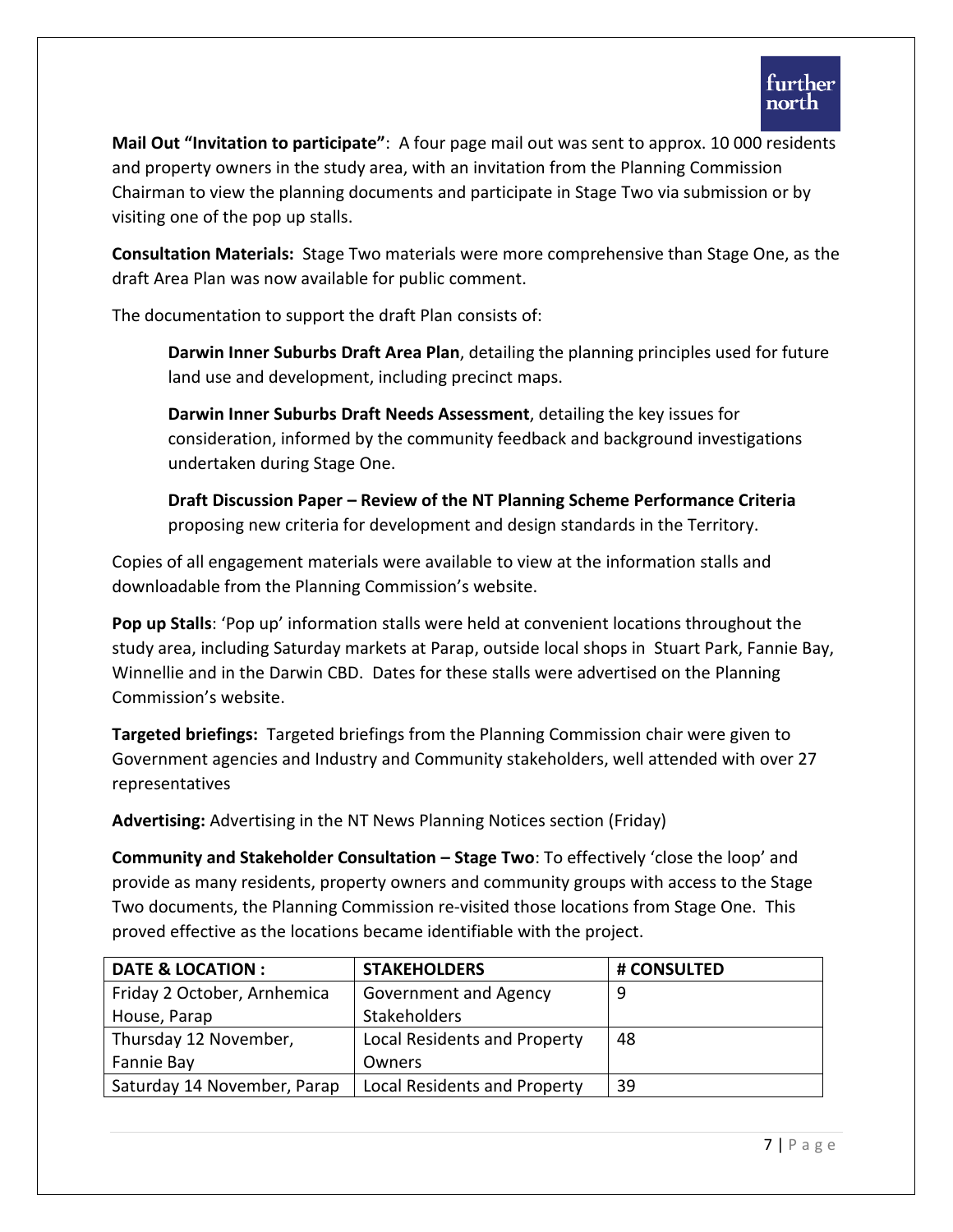

**Mail Out "Invitation to participate"**: A four page mail out was sent to approx. 10 000 residents and property owners in the study area, with an invitation from the Planning Commission Chairman to view the planning documents and participate in Stage Two via submission or by visiting one of the pop up stalls.

**Consultation Materials:** Stage Two materials were more comprehensive than Stage One, as the draft Area Plan was now available for public comment.

The documentation to support the draft Plan consists of:

**Darwin Inner Suburbs Draft Area Plan**, detailing the planning principles used for future land use and development, including precinct maps.

**Darwin Inner Suburbs Draft Needs Assessment**, detailing the key issues for consideration, informed by the community feedback and background investigations undertaken during Stage One.

**Draft Discussion Paper – Review of the NT Planning Scheme Performance Criteria**  proposing new criteria for development and design standards in the Territory.

Copies of all engagement materials were available to view at the information stalls and downloadable from the Planning Commission's website.

**Pop up Stalls**: 'Pop up' information stalls were held at convenient locations throughout the study area, including Saturday markets at Parap, outside local shops in Stuart Park, Fannie Bay, Winnellie and in the Darwin CBD. Dates for these stalls were advertised on the Planning Commission's website.

**Targeted briefings:** Targeted briefings from the Planning Commission chair were given to Government agencies and Industry and Community stakeholders, well attended with over 27 representatives

**Advertising:** Advertising in the NT News Planning Notices section (Friday)

**Community and Stakeholder Consultation – Stage Two**: To effectively 'close the loop' and provide as many residents, property owners and community groups with access to the Stage Two documents, the Planning Commission re-visited those locations from Stage One. This proved effective as the locations became identifiable with the project.

| <b>DATE &amp; LOCATION :</b> | <b>STAKEHOLDERS</b>          | # CONSULTED |
|------------------------------|------------------------------|-------------|
| Friday 2 October, Arnhemica  | Government and Agency        | 9           |
| House, Parap                 | <b>Stakeholders</b>          |             |
| Thursday 12 November,        | Local Residents and Property | 48          |
| Fannie Bay                   | Owners                       |             |
| Saturday 14 November, Parap  | Local Residents and Property | 39          |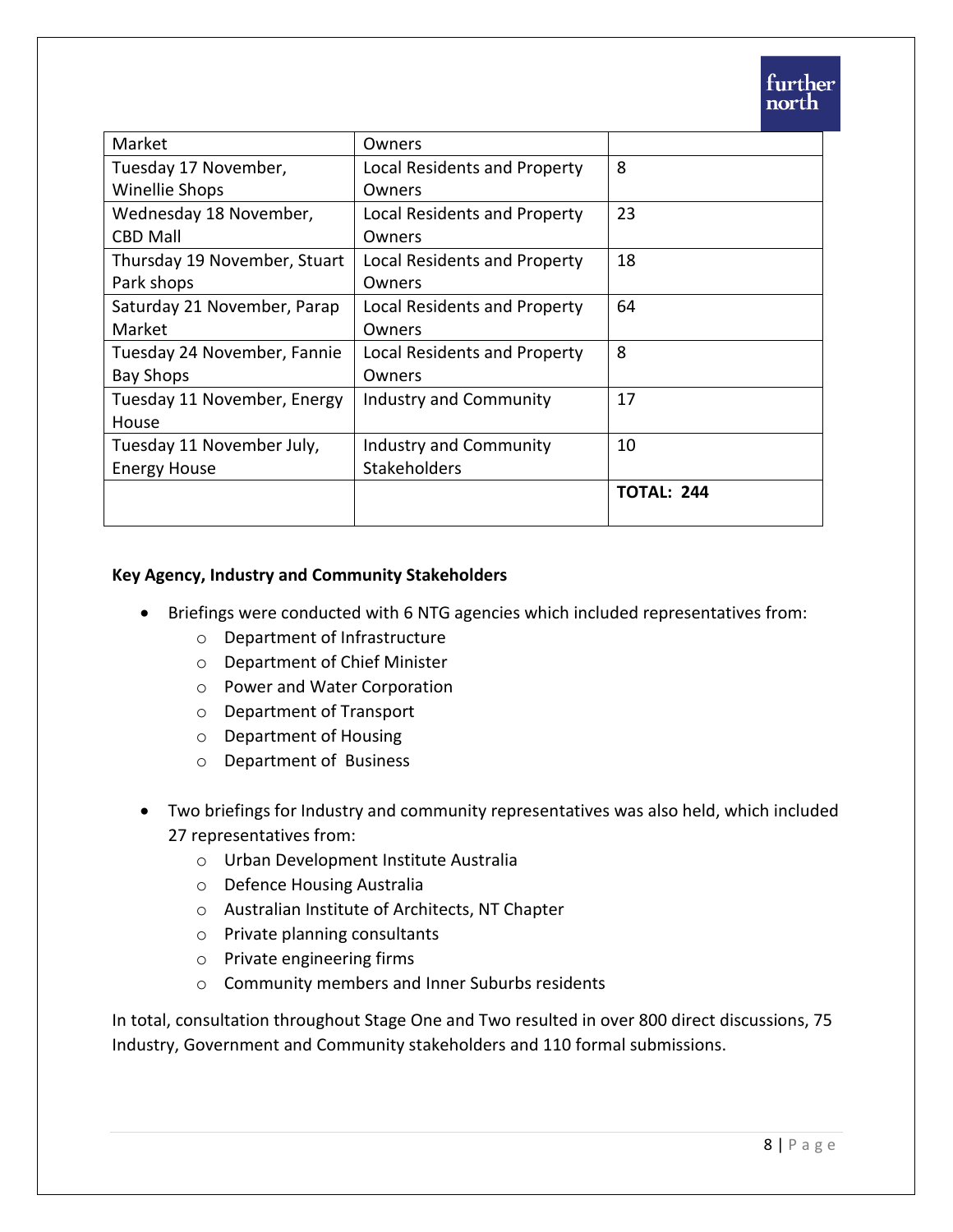| Market                       | Owners                        |                   |
|------------------------------|-------------------------------|-------------------|
| Tuesday 17 November,         | Local Residents and Property  | 8                 |
| Winellie Shops               | Owners                        |                   |
| Wednesday 18 November,       | Local Residents and Property  | 23                |
| <b>CBD Mall</b>              | Owners                        |                   |
| Thursday 19 November, Stuart | Local Residents and Property  | 18                |
| Park shops                   | Owners                        |                   |
| Saturday 21 November, Parap  | Local Residents and Property  | 64                |
| Market                       | Owners                        |                   |
| Tuesday 24 November, Fannie  | Local Residents and Property  | 8                 |
| <b>Bay Shops</b>             | Owners                        |                   |
| Tuesday 11 November, Energy  | Industry and Community        | 17                |
| House                        |                               |                   |
| Tuesday 11 November July,    | <b>Industry and Community</b> | 10                |
| <b>Energy House</b>          | <b>Stakeholders</b>           |                   |
|                              |                               | <b>TOTAL: 244</b> |
|                              |                               |                   |

#### **Key Agency, Industry and Community Stakeholders**

- Briefings were conducted with 6 NTG agencies which included representatives from:
	- o Department of Infrastructure
	- o Department of Chief Minister
	- o Power and Water Corporation
	- o Department of Transport
	- o Department of Housing
	- o Department of Business
- Two briefings for Industry and community representatives was also held, which included 27 representatives from:
	- o Urban Development Institute Australia
	- o Defence Housing Australia
	- o Australian Institute of Architects, NT Chapter
	- o Private planning consultants
	- o Private engineering firms
	- o Community members and Inner Suburbs residents

In total, consultation throughout Stage One and Two resulted in over 800 direct discussions, 75 Industry, Government and Community stakeholders and 110 formal submissions.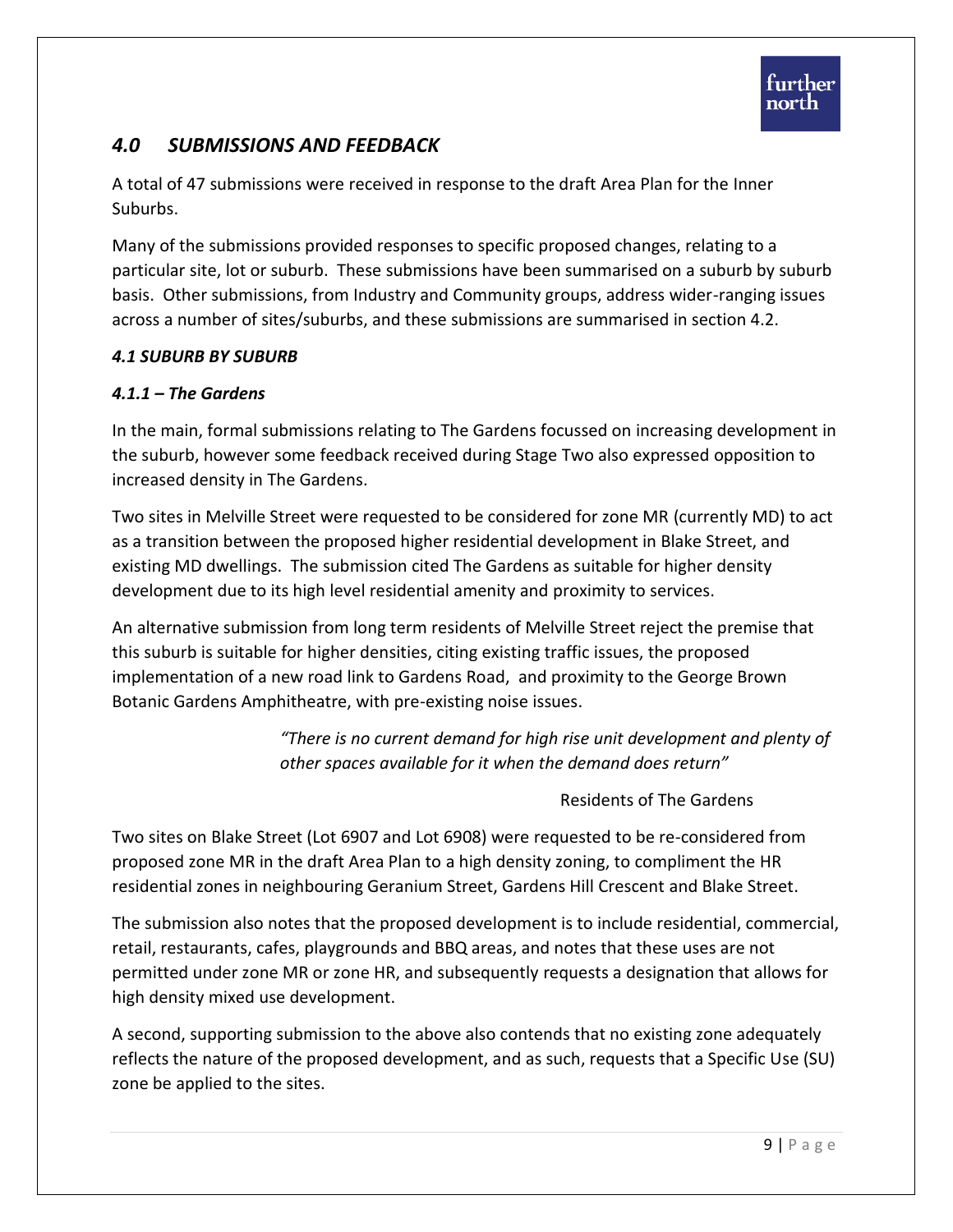# *4.0 SUBMISSIONS AND FEEDBACK*

A total of 47 submissions were received in response to the draft Area Plan for the Inner Suburbs.

Many of the submissions provided responses to specific proposed changes, relating to a particular site, lot or suburb. These submissions have been summarised on a suburb by suburb basis. Other submissions, from Industry and Community groups, address wider-ranging issues across a number of sites/suburbs, and these submissions are summarised in section 4.2.

#### *4.1 SUBURB BY SUBURB*

#### *4.1.1 – The Gardens*

In the main, formal submissions relating to The Gardens focussed on increasing development in the suburb, however some feedback received during Stage Two also expressed opposition to increased density in The Gardens.

Two sites in Melville Street were requested to be considered for zone MR (currently MD) to act as a transition between the proposed higher residential development in Blake Street, and existing MD dwellings. The submission cited The Gardens as suitable for higher density development due to its high level residential amenity and proximity to services.

An alternative submission from long term residents of Melville Street reject the premise that this suburb is suitable for higher densities, citing existing traffic issues, the proposed implementation of a new road link to Gardens Road, and proximity to the George Brown Botanic Gardens Amphitheatre, with pre-existing noise issues.

> *"There is no current demand for high rise unit development and plenty of other spaces available for it when the demand does return"*

> > Residents of The Gardens

Two sites on Blake Street (Lot 6907 and Lot 6908) were requested to be re-considered from proposed zone MR in the draft Area Plan to a high density zoning, to compliment the HR residential zones in neighbouring Geranium Street, Gardens Hill Crescent and Blake Street.

The submission also notes that the proposed development is to include residential, commercial, retail, restaurants, cafes, playgrounds and BBQ areas, and notes that these uses are not permitted under zone MR or zone HR, and subsequently requests a designation that allows for high density mixed use development.

A second, supporting submission to the above also contends that no existing zone adequately reflects the nature of the proposed development, and as such, requests that a Specific Use (SU) zone be applied to the sites.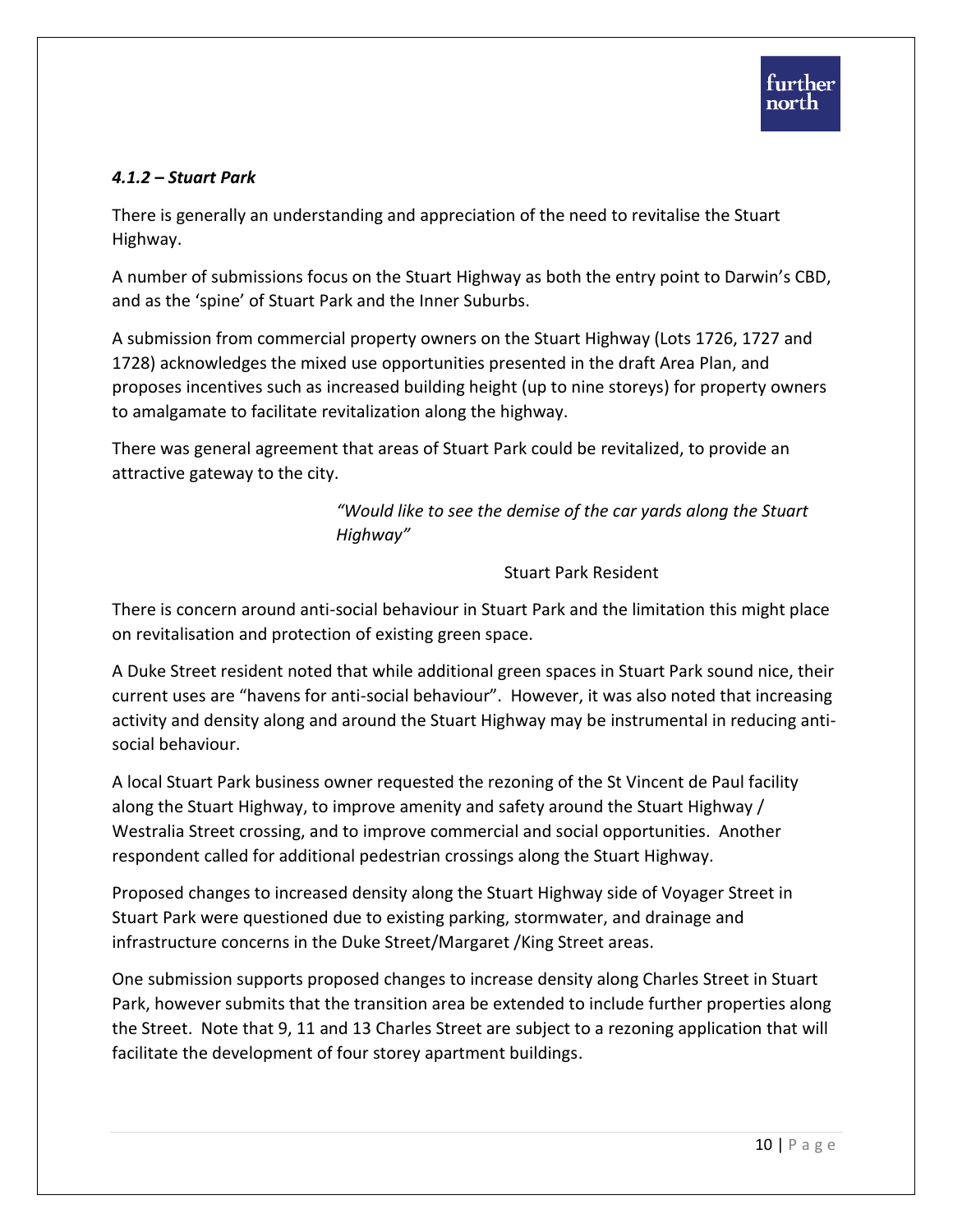## *4.1.2 – Stuart Park*

There is generally an understanding and appreciation of the need to revitalise the Stuart Highway.

A number of submissions focus on the Stuart Highway as both the entry point to Darwin's CBD, and as the 'spine' of Stuart Park and the Inner Suburbs.

A submission from commercial property owners on the Stuart Highway (Lots 1726, 1727 and 1728) acknowledges the mixed use opportunities presented in the draft Area Plan, and proposes incentives such as increased building height (up to nine storeys) for property owners to amalgamate to facilitate revitalization along the highway.

There was general agreement that areas of Stuart Park could be revitalized, to provide an attractive gateway to the city.

> *"Would like to see the demise of the car yards along the Stuart Highway"*

#### Stuart Park Resident

There is concern around anti-social behaviour in Stuart Park and the limitation this might place on revitalisation and protection of existing green space.

A Duke Street resident noted that while additional green spaces in Stuart Park sound nice, their current uses are "havens for anti-social behaviour". However, it was also noted that increasing activity and density along and around the Stuart Highway may be instrumental in reducing antisocial behaviour.

A local Stuart Park business owner requested the rezoning of the St Vincent de Paul facility along the Stuart Highway, to improve amenity and safety around the Stuart Highway / Westralia Street crossing, and to improve commercial and social opportunities. Another respondent called for additional pedestrian crossings along the Stuart Highway.

Proposed changes to increased density along the Stuart Highway side of Voyager Street in Stuart Park were questioned due to existing parking, stormwater, and drainage and infrastructure concerns in the Duke Street/Margaret /King Street areas.

One submission supports proposed changes to increase density along Charles Street in Stuart Park, however submits that the transition area be extended to include further properties along the Street. Note that 9, 11 and 13 Charles Street are subject to a rezoning application that will facilitate the development of four storey apartment buildings.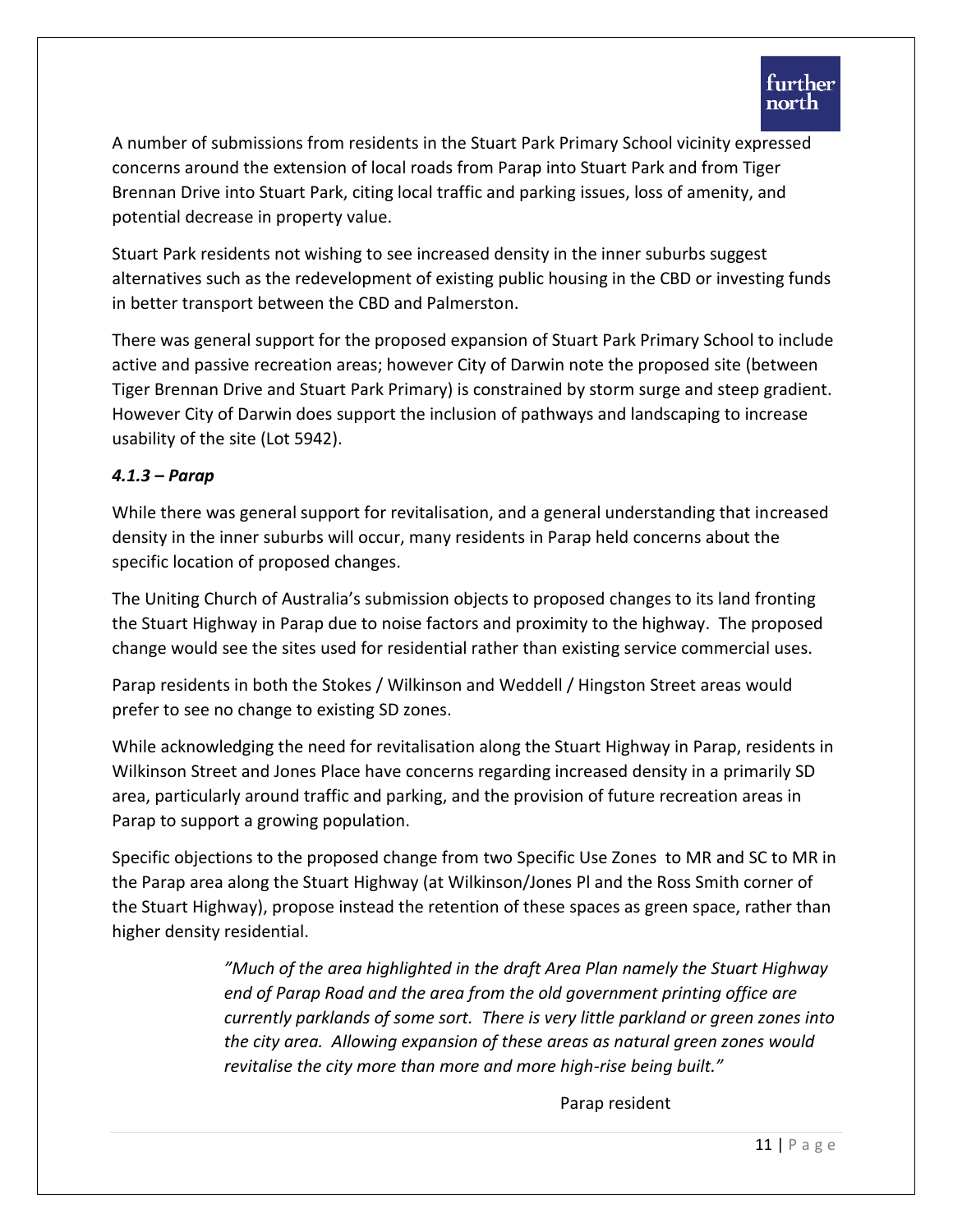A number of submissions from residents in the Stuart Park Primary School vicinity expressed concerns around the extension of local roads from Parap into Stuart Park and from Tiger Brennan Drive into Stuart Park, citing local traffic and parking issues, loss of amenity, and potential decrease in property value.

Stuart Park residents not wishing to see increased density in the inner suburbs suggest alternatives such as the redevelopment of existing public housing in the CBD or investing funds in better transport between the CBD and Palmerston.

There was general support for the proposed expansion of Stuart Park Primary School to include active and passive recreation areas; however City of Darwin note the proposed site (between Tiger Brennan Drive and Stuart Park Primary) is constrained by storm surge and steep gradient. However City of Darwin does support the inclusion of pathways and landscaping to increase usability of the site (Lot 5942).

#### *4.1.3 – Parap*

While there was general support for revitalisation, and a general understanding that increased density in the inner suburbs will occur, many residents in Parap held concerns about the specific location of proposed changes.

The Uniting Church of Australia's submission objects to proposed changes to its land fronting the Stuart Highway in Parap due to noise factors and proximity to the highway. The proposed change would see the sites used for residential rather than existing service commercial uses.

Parap residents in both the Stokes / Wilkinson and Weddell / Hingston Street areas would prefer to see no change to existing SD zones.

While acknowledging the need for revitalisation along the Stuart Highway in Parap, residents in Wilkinson Street and Jones Place have concerns regarding increased density in a primarily SD area, particularly around traffic and parking, and the provision of future recreation areas in Parap to support a growing population.

Specific objections to the proposed change from two Specific Use Zones to MR and SC to MR in the Parap area along the Stuart Highway (at Wilkinson/Jones Pl and the Ross Smith corner of the Stuart Highway), propose instead the retention of these spaces as green space, rather than higher density residential.

> *"Much of the area highlighted in the draft Area Plan namely the Stuart Highway end of Parap Road and the area from the old government printing office are currently parklands of some sort. There is very little parkland or green zones into the city area. Allowing expansion of these areas as natural green zones would revitalise the city more than more and more high-rise being built."*

> > Parap resident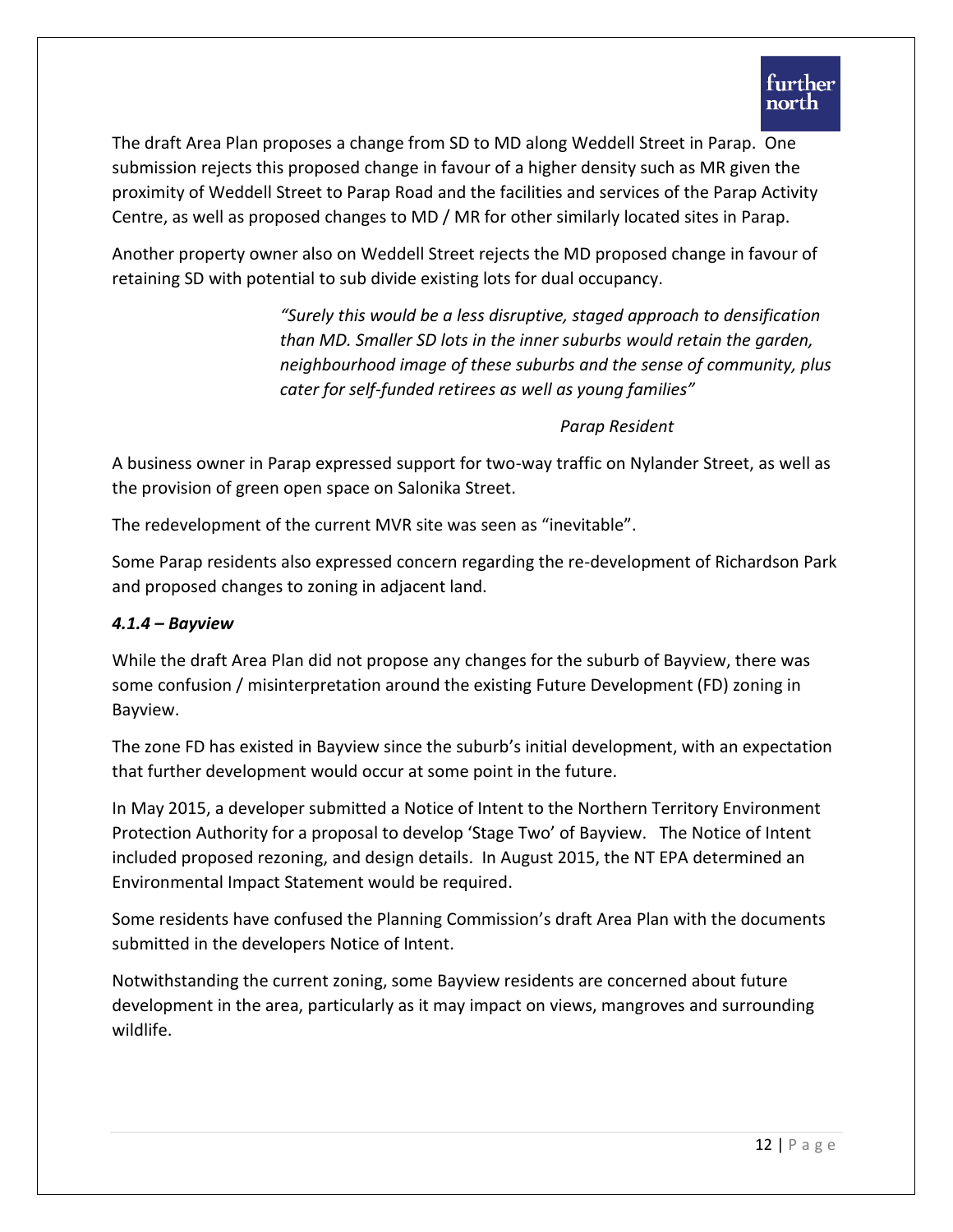The draft Area Plan proposes a change from SD to MD along Weddell Street in Parap. One submission rejects this proposed change in favour of a higher density such as MR given the proximity of Weddell Street to Parap Road and the facilities and services of the Parap Activity Centre, as well as proposed changes to MD / MR for other similarly located sites in Parap.

Another property owner also on Weddell Street rejects the MD proposed change in favour of retaining SD with potential to sub divide existing lots for dual occupancy.

> *"Surely this would be a less disruptive, staged approach to densification than MD. Smaller SD lots in the inner suburbs would retain the garden, neighbourhood image of these suburbs and the sense of community, plus cater for self-funded retirees as well as young families"*

#### *Parap Resident*

A business owner in Parap expressed support for two-way traffic on Nylander Street, as well as the provision of green open space on Salonika Street.

The redevelopment of the current MVR site was seen as "inevitable".

Some Parap residents also expressed concern regarding the re-development of Richardson Park and proposed changes to zoning in adjacent land.

## *4.1.4 – Bayview*

While the draft Area Plan did not propose any changes for the suburb of Bayview, there was some confusion / misinterpretation around the existing Future Development (FD) zoning in Bayview.

The zone FD has existed in Bayview since the suburb's initial development, with an expectation that further development would occur at some point in the future.

In May 2015, a developer submitted a Notice of Intent to the Northern Territory Environment Protection Authority for a proposal to develop 'Stage Two' of Bayview. The Notice of Intent included proposed rezoning, and design details. In August 2015, the NT EPA determined an Environmental Impact Statement would be required.

Some residents have confused the Planning Commission's draft Area Plan with the documents submitted in the developers Notice of Intent.

Notwithstanding the current zoning, some Bayview residents are concerned about future development in the area, particularly as it may impact on views, mangroves and surrounding wildlife.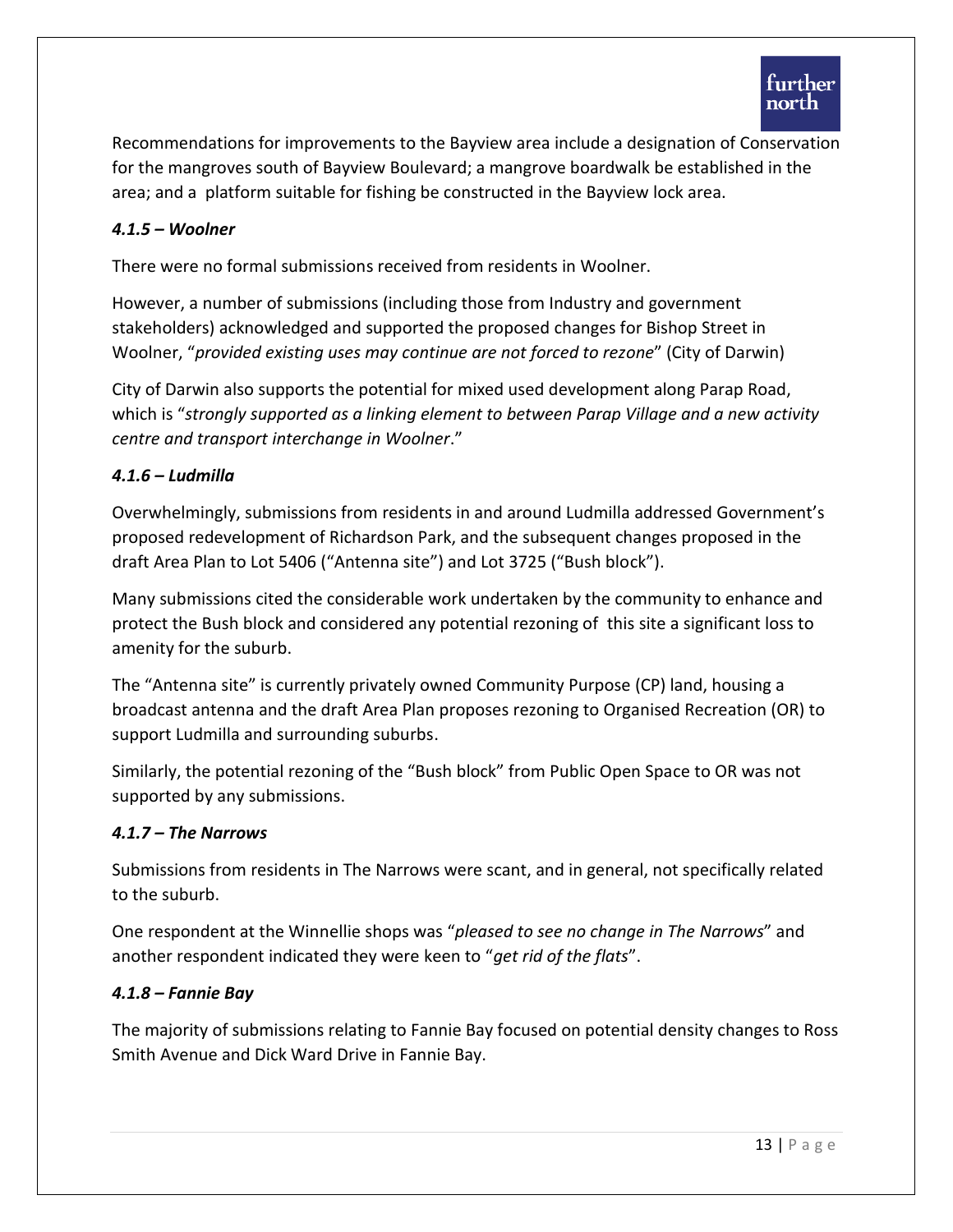

Recommendations for improvements to the Bayview area include a designation of Conservation for the mangroves south of Bayview Boulevard; a mangrove boardwalk be established in the area; and a platform suitable for fishing be constructed in the Bayview lock area.

## *4.1.5 – Woolner*

There were no formal submissions received from residents in Woolner.

However, a number of submissions (including those from Industry and government stakeholders) acknowledged and supported the proposed changes for Bishop Street in Woolner, "*provided existing uses may continue are not forced to rezone*" (City of Darwin)

City of Darwin also supports the potential for mixed used development along Parap Road, which is "*strongly supported as a linking element to between Parap Village and a new activity centre and transport interchange in Woolner*."

#### *4.1.6 – Ludmilla*

Overwhelmingly, submissions from residents in and around Ludmilla addressed Government's proposed redevelopment of Richardson Park, and the subsequent changes proposed in the draft Area Plan to Lot 5406 ("Antenna site") and Lot 3725 ("Bush block").

Many submissions cited the considerable work undertaken by the community to enhance and protect the Bush block and considered any potential rezoning of this site a significant loss to amenity for the suburb.

The "Antenna site" is currently privately owned Community Purpose (CP) land, housing a broadcast antenna and the draft Area Plan proposes rezoning to Organised Recreation (OR) to support Ludmilla and surrounding suburbs.

Similarly, the potential rezoning of the "Bush block" from Public Open Space to OR was not supported by any submissions.

#### *4.1.7 – The Narrows*

Submissions from residents in The Narrows were scant, and in general, not specifically related to the suburb.

One respondent at the Winnellie shops was "*pleased to see no change in The Narrows*" and another respondent indicated they were keen to "*get rid of the flats*".

#### *4.1.8 – Fannie Bay*

The majority of submissions relating to Fannie Bay focused on potential density changes to Ross Smith Avenue and Dick Ward Drive in Fannie Bay.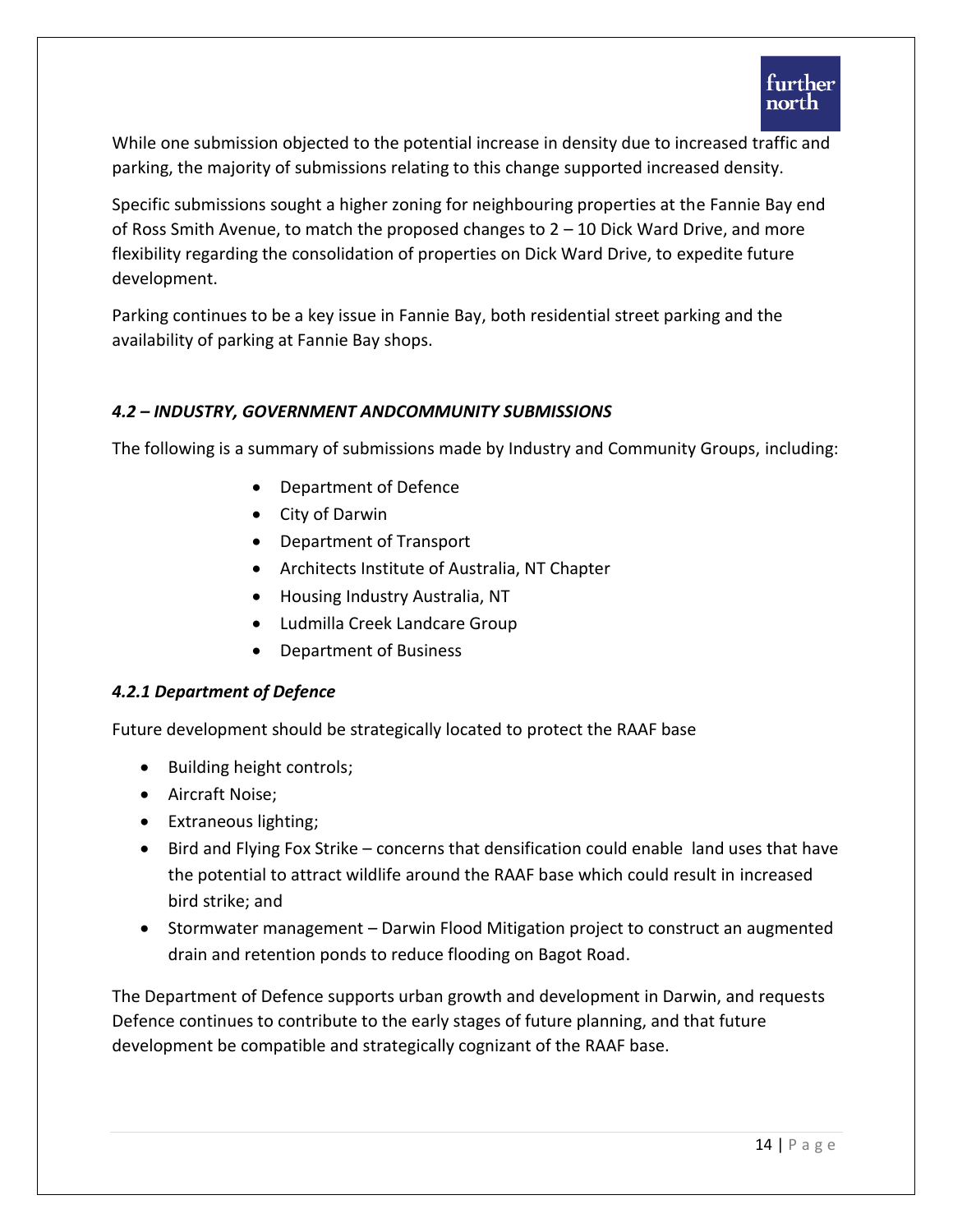

While one submission objected to the potential increase in density due to increased traffic and parking, the majority of submissions relating to this change supported increased density.

Specific submissions sought a higher zoning for neighbouring properties at the Fannie Bay end of Ross Smith Avenue, to match the proposed changes to 2 – 10 Dick Ward Drive, and more flexibility regarding the consolidation of properties on Dick Ward Drive, to expedite future development.

Parking continues to be a key issue in Fannie Bay, both residential street parking and the availability of parking at Fannie Bay shops.

# *4.2 – INDUSTRY, GOVERNMENT ANDCOMMUNITY SUBMISSIONS*

The following is a summary of submissions made by Industry and Community Groups, including:

- Department of Defence
- City of Darwin
- Department of Transport
- Architects Institute of Australia, NT Chapter
- Housing Industry Australia, NT
- Ludmilla Creek Landcare Group
- Department of Business

#### *4.2.1 Department of Defence*

Future development should be strategically located to protect the RAAF base

- Building height controls;
- Aircraft Noise;
- Extraneous lighting;
- Bird and Flying Fox Strike concerns that densification could enable land uses that have the potential to attract wildlife around the RAAF base which could result in increased bird strike; and
- Stormwater management Darwin Flood Mitigation project to construct an augmented drain and retention ponds to reduce flooding on Bagot Road.

The Department of Defence supports urban growth and development in Darwin, and requests Defence continues to contribute to the early stages of future planning, and that future development be compatible and strategically cognizant of the RAAF base.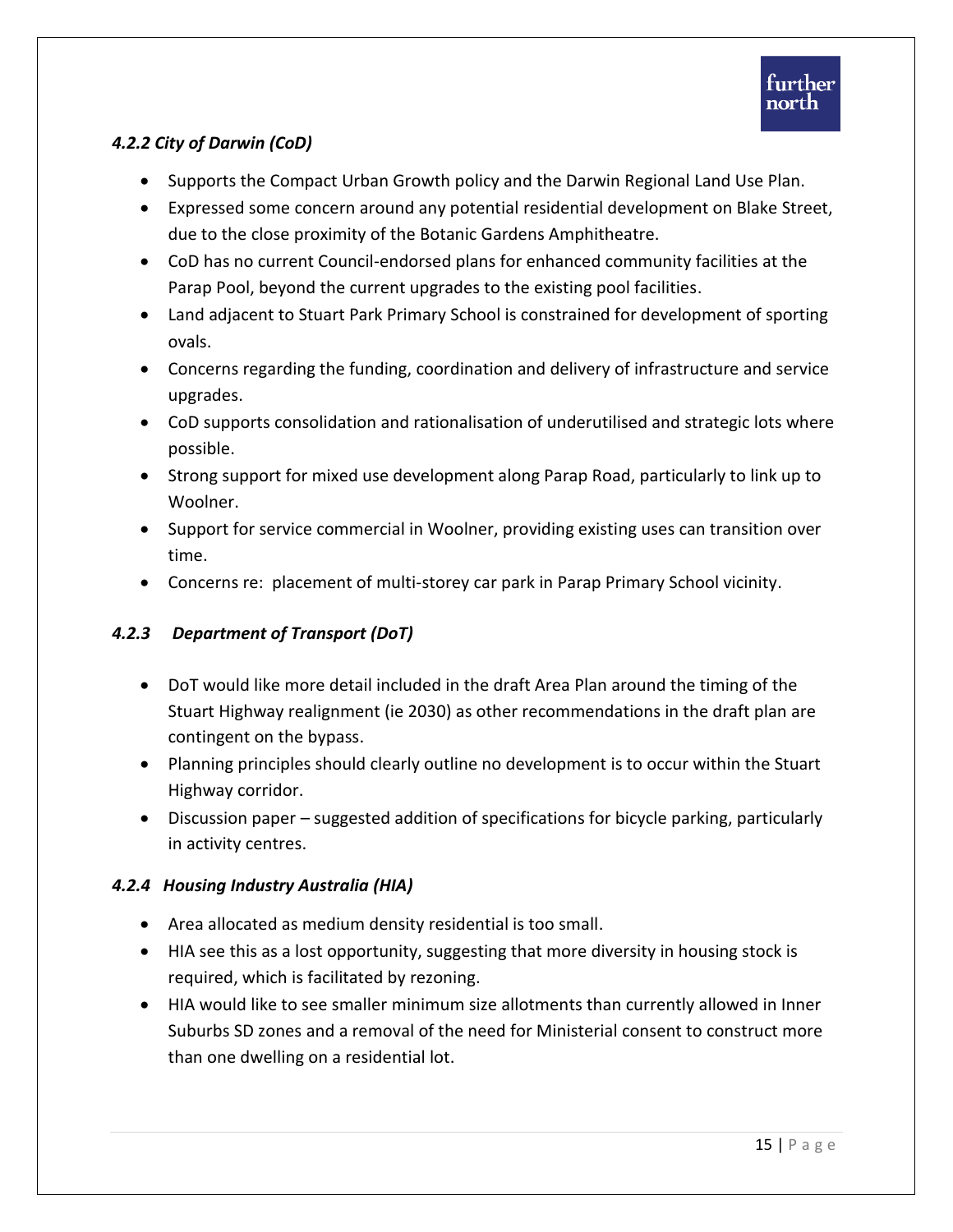# *4.2.2 City of Darwin (CoD)*

- Supports the Compact Urban Growth policy and the Darwin Regional Land Use Plan.
- Expressed some concern around any potential residential development on Blake Street, due to the close proximity of the Botanic Gardens Amphitheatre.
- CoD has no current Council-endorsed plans for enhanced community facilities at the Parap Pool, beyond the current upgrades to the existing pool facilities.
- Land adjacent to Stuart Park Primary School is constrained for development of sporting ovals.
- Concerns regarding the funding, coordination and delivery of infrastructure and service upgrades.
- CoD supports consolidation and rationalisation of underutilised and strategic lots where possible.
- Strong support for mixed use development along Parap Road, particularly to link up to Woolner.
- Support for service commercial in Woolner, providing existing uses can transition over time.
- Concerns re: placement of multi-storey car park in Parap Primary School vicinity.

# *4.2.3 Department of Transport (DoT)*

- DoT would like more detail included in the draft Area Plan around the timing of the Stuart Highway realignment (ie 2030) as other recommendations in the draft plan are contingent on the bypass.
- Planning principles should clearly outline no development is to occur within the Stuart Highway corridor.
- Discussion paper suggested addition of specifications for bicycle parking, particularly in activity centres.

# *4.2.4 Housing Industry Australia (HIA)*

- Area allocated as medium density residential is too small.
- HIA see this as a lost opportunity, suggesting that more diversity in housing stock is required, which is facilitated by rezoning.
- HIA would like to see smaller minimum size allotments than currently allowed in Inner Suburbs SD zones and a removal of the need for Ministerial consent to construct more than one dwelling on a residential lot.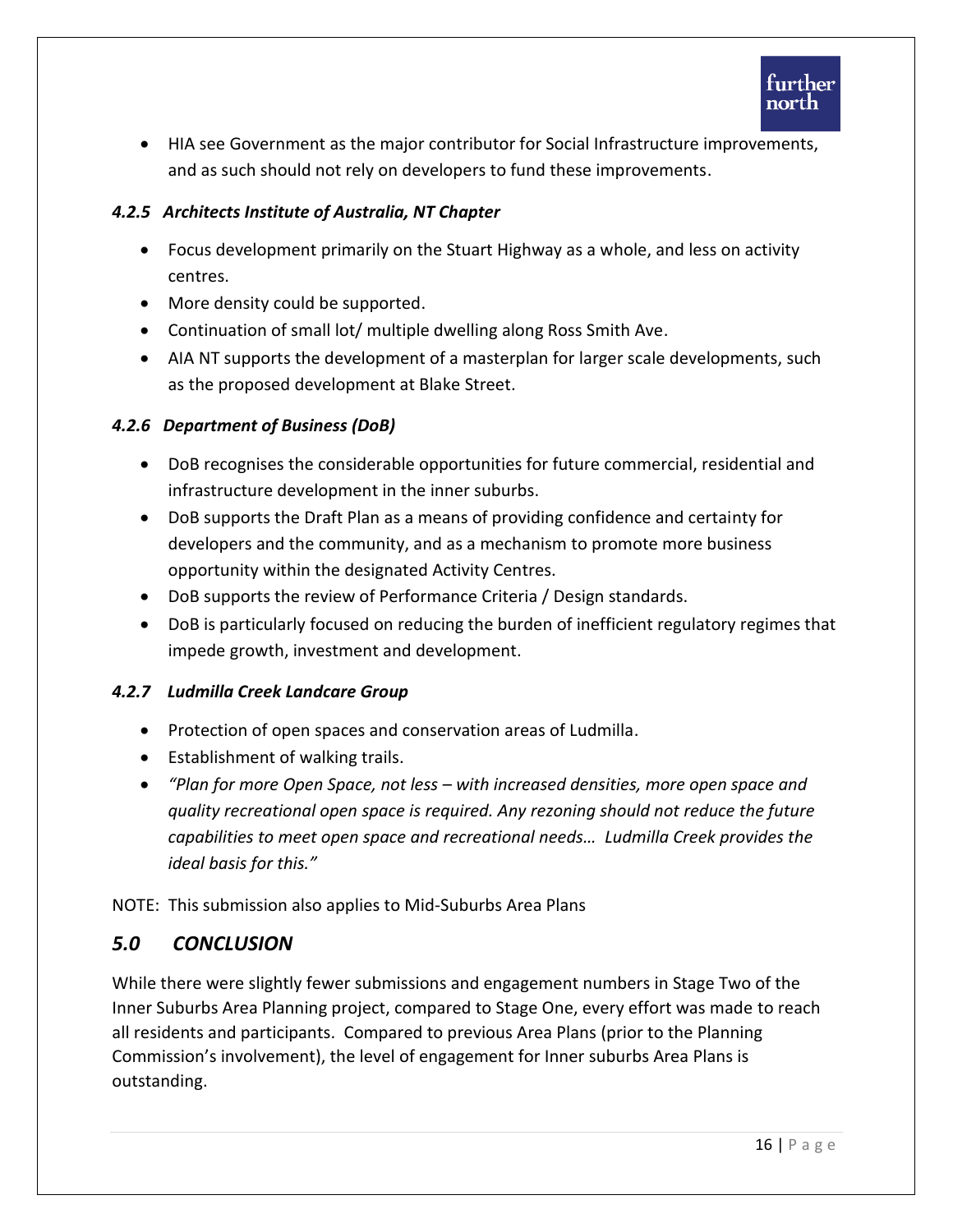

 HIA see Government as the major contributor for Social Infrastructure improvements, and as such should not rely on developers to fund these improvements.

# *4.2.5 Architects Institute of Australia, NT Chapter*

- Focus development primarily on the Stuart Highway as a whole, and less on activity centres.
- More density could be supported.
- Continuation of small lot/ multiple dwelling along Ross Smith Ave.
- AIA NT supports the development of a masterplan for larger scale developments, such as the proposed development at Blake Street.

# *4.2.6 Department of Business (DoB)*

- DoB recognises the considerable opportunities for future commercial, residential and infrastructure development in the inner suburbs.
- DoB supports the Draft Plan as a means of providing confidence and certainty for developers and the community, and as a mechanism to promote more business opportunity within the designated Activity Centres.
- DoB supports the review of Performance Criteria / Design standards.
- DoB is particularly focused on reducing the burden of inefficient regulatory regimes that impede growth, investment and development.

# *4.2.7 Ludmilla Creek Landcare Group*

- Protection of open spaces and conservation areas of Ludmilla.
- Establishment of walking trails.
- *"Plan for more Open Space, not less – with increased densities, more open space and quality recreational open space is required. Any rezoning should not reduce the future capabilities to meet open space and recreational needs… Ludmilla Creek provides the ideal basis for this."*

NOTE: This submission also applies to Mid-Suburbs Area Plans

# *5.0 CONCLUSION*

While there were slightly fewer submissions and engagement numbers in Stage Two of the Inner Suburbs Area Planning project, compared to Stage One, every effort was made to reach all residents and participants. Compared to previous Area Plans (prior to the Planning Commission's involvement), the level of engagement for Inner suburbs Area Plans is outstanding.